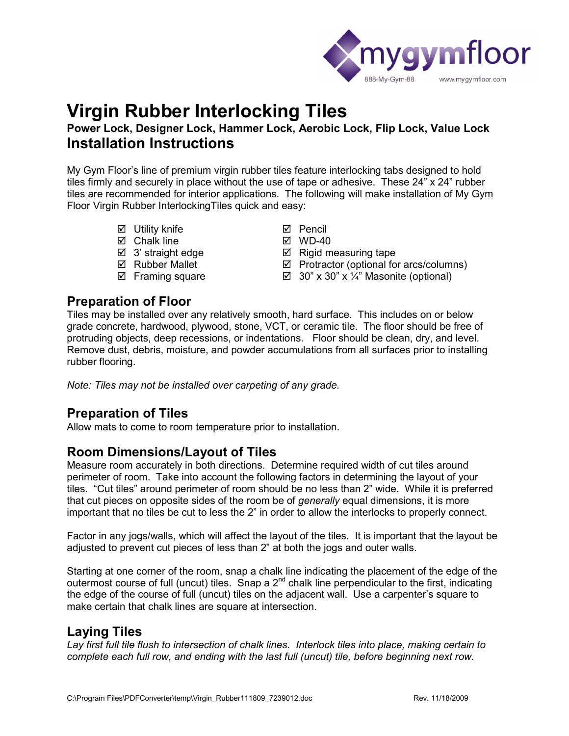

# **Virgin Rubber Interlocking Tiles**

# **Power Lock, Designer Lock, Hammer Lock, Aerobic Lock, Flip Lock, Value Lock Installation Instructions**

My Gym Floor's line of premium virgin rubber tiles feature interlocking tabs designed to hold tiles firmly and securely in place without the use of tape or adhesive. These 24" x 24" rubber tiles are recommended for interior applications. The following will make installation of My Gym Floor Virgin Rubber InterlockingTiles quick and easy:

- $\nabla$  Utility knife
- $\boxtimes$  Chalk line
- $\boxtimes$  3' straight edge
- **Ø** Rubber Mallet
- $\nabla$  Framing square
- **Ø** Pencil
- $\boxtimes$  WD-40
- $\boxtimes$  Rigid measuring tape
- $\boxtimes$  Protractor (optional for arcs/columns)
	- $\boxtimes$  30" x 30" x 1/4" Masonite (optional)

## **Preparation of Floor**

Tiles may be installed over any relatively smooth, hard surface. This includes on or below grade concrete, hardwood, plywood, stone, VCT, or ceramic tile. The floor should be free of protruding objects, deep recessions, or indentations. Floor should be clean, dry, and level. Remove dust, debris, moisture, and powder accumulations from all surfaces prior to installing rubber flooring.

*Note: Tiles may not be installed over carpeting of any grade.* 

## **Preparation of Tiles**

Allow mats to come to room temperature prior to installation.

### **Room Dimensions/Layout of Tiles**

Measure room accurately in both directions. Determine required width of cut tiles around perimeter of room. Take into account the following factors in determining the layout of your tiles. "Cut tiles" around perimeter of room should be no less than 2" wide. While it is preferred that cut pieces on opposite sides of the room be of *generally* equal dimensions, it is more important that no tiles be cut to less the 2" in order to allow the interlocks to properly connect.

Factor in any jogs/walls, which will affect the layout of the tiles. It is important that the layout be adjusted to prevent cut pieces of less than 2" at both the jogs and outer walls.

Starting at one corner of the room, snap a chalk line indicating the placement of the edge of the outermost course of full (uncut) tiles. Snap a  $2^{nd}$  chalk line perpendicular to the first, indicating the edge of the course of full (uncut) tiles on the adjacent wall. Use a carpenter's square to make certain that chalk lines are square at intersection.

### **Laying Tiles**

*Lay first full tile flush to intersection of chalk lines. Interlock tiles into place, making certain to complete each full row, and ending with the last full (uncut) tile, before beginning next row.*